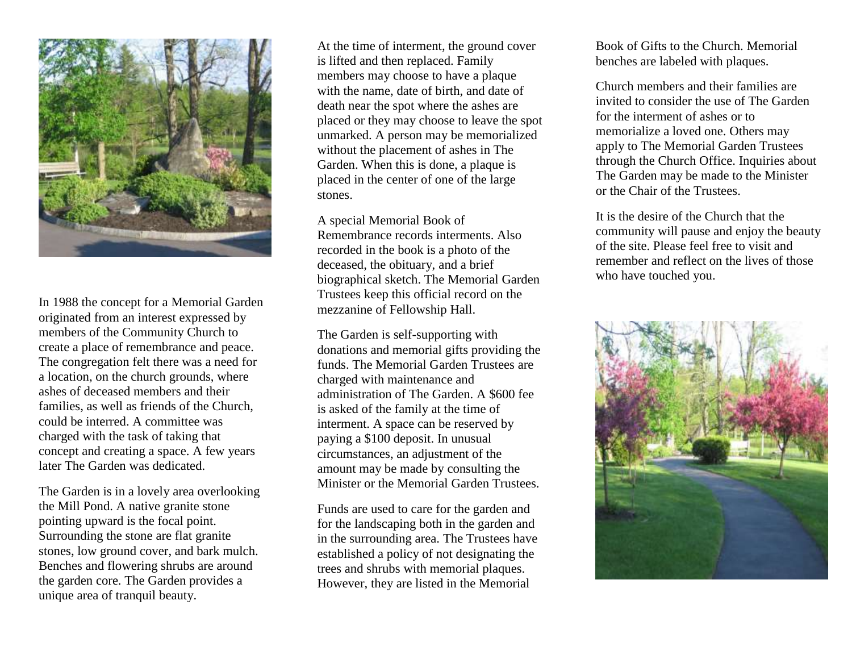

In 1988 the concept for a Memorial Garden originated from an interest expressed by members of the Community Church to create a place of remembrance and peace. The congregation felt there was a need for a location, on the church grounds, where ashes of deceased members and their families, as well as friends of the Church, could be interred. A committee was charged with the task of taking that concept and creating a space. A few years later The Garden was dedicated.

The Garden is in a lovely area overlooking the Mill Pond. A native granite stone pointing upward is the focal point. Surrounding the stone are flat granite stones, low ground cover, and bark mulch. Benches and flowering shrubs are around the garden core. The Garden provides a unique area of tranquil beauty.

At the time of interment, the ground cover is lifted and then replaced. Family members may choose to have a plaque with the name, date of birth, and date of death near the spot where the ashes are placed or they may choose to leave the spot unmarked. A person may be memorialized without the placement of ashes in The Garden. When this is done, a plaque is placed in the center of one of the large stones.

A special Memorial Book of Remembrance records interments. Also recorded in the book is a photo of the deceased, the obituary, and a brief biographical sketch. The Memorial Garden Trustees keep this official record on the mezzanine of Fellowship Hall.

The Garden is self-supporting with donations and memorial gifts providing the funds. The Memorial Garden Trustees are charged with maintenance and administration of The Garden. A \$600 fee is asked of the family at the time of interment. A space can be reserved by paying a \$100 deposit. In unusual circumstances, an adjustment of the amount may be made by consulting the Minister or the Memorial Garden Trustees.

Funds are used to care for the garden and for the landscaping both in the garden and in the surrounding area. The Trustees have established a policy of not designating the trees and shrubs with memorial plaques. However, they are listed in the Memorial

Book of Gifts to the Church. Memorial benches are labeled with plaques.

Church members and their families are invited to consider the use of The Garden for the interment of ashes or to memorialize a loved one. Others may apply to The Memorial Garden Trustees through the Church Office. Inquiries about The Garden may be made to the Minister or the Chair of the Trustees.

It is the desire of the Church that the community will pause and enjoy the beauty of the site. Please feel free to visit and remember and reflect on the lives of those who have touched you.